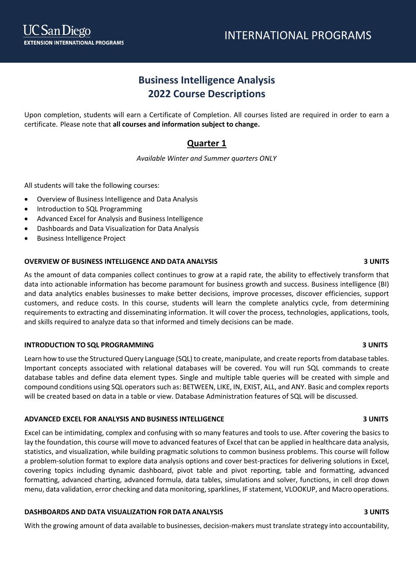# **Business Intelligence Analysis 2022 Course Descriptions**

Upon completion, students will earn a Certificate of Completion. All courses listed are required in order to earn a certificate*.* Please note that **all courses and information subject to change.**

## **Quarter 1**

*Available Winter and Summer quarters ONLY*

All students will take the following courses:

- Overview of Business Intelligence and Data Analysis
- Introduction to SQL Programming
- Advanced Excel for Analysis and Business Intelligence
- Dashboards and Data Visualization for Data Analysis
- Business Intelligence Project

### **OVERVIEW OF BUSINESS INTELLIGENCE AND DATA ANALYSIS 3 UNITS**

As the amount of data companies collect continues to grow at a rapid rate, the ability to effectively transform that data into actionable information has become paramount for business growth and success. Business intelligence (BI) and data analytics enables businesses to make better decisions, improve processes, discover efficiencies, support customers, and reduce costs. In this course, students will learn the complete analytics cycle, from determining requirements to extracting and disseminating information. It will cover the process, technologies, applications, tools, and skills required to analyze data so that informed and timely decisions can be made.

### **INTRODUCTION TO SQL PROGRAMMING 3 UNITS**

Learn how to use the Structured Query Language (SQL) to create, manipulate, and create reports from database tables. Important concepts associated with relational databases will be covered. You will run SQL commands to create database tables and define data element types. Single and multiple table queries will be created with simple and compound conditions using SQL operators such as: BETWEEN, LIKE, IN, EXIST, ALL, and ANY. Basic and complex reports will be created based on data in a table or view. Database Administration features of SQL will be discussed.

### **ADVANCED EXCEL FOR ANALYSIS AND BUSINESS INTELLIGENCE 3 UNITS**

Excel can be intimidating, complex and confusing with so many features and tools to use. After covering the basics to lay the foundation, this course will move to advanced features of Excel that can be applied in healthcare data analysis, statistics, and visualization, while building pragmatic solutions to common business problems. This course will follow a problem-solution format to explore data analysis options and cover best-practices for delivering solutions in Excel, covering topics including dynamic dashboard, pivot table and pivot reporting, table and formatting, advanced formatting, advanced charting, advanced formula, data tables, simulations and solver, functions, in cell drop down menu, data validation, error checking and data monitoring, sparklines, IF statement, VLOOKUP, and Macro operations.

### **DASHBOARDS AND DATA VISUALIZATION FOR DATA ANALYSIS 3 UNITS**

With the growing amount of data available to businesses, decision-makers must translate strategy into accountability,